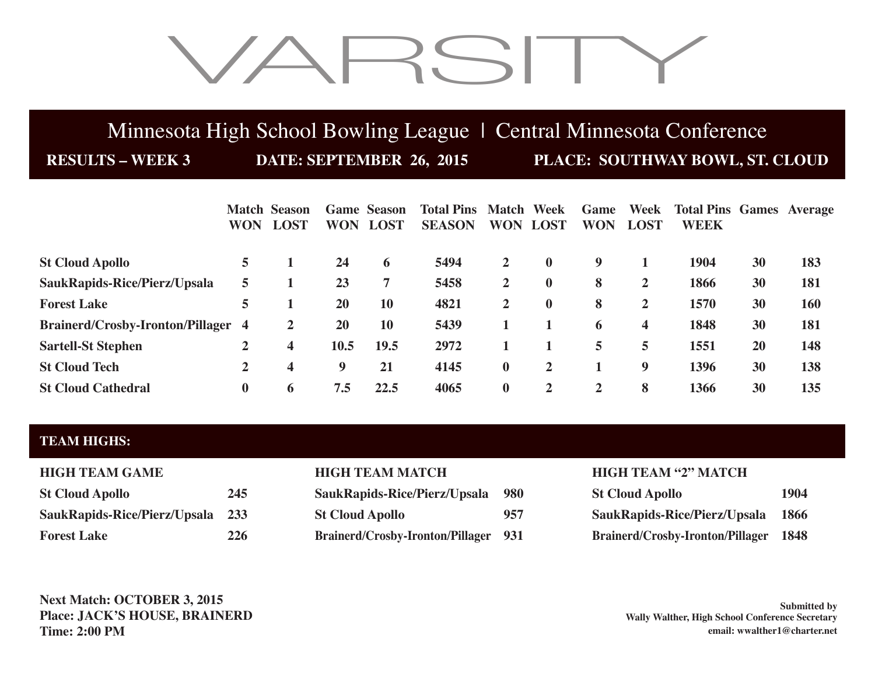# VARSITY

## Minnesota High School Bowling League | Central Minnesota Conference

**RESULTS – WEEK 3 DATE: SEPTEMBER 26, 2015 PLACE: SOUTHWAY BOWL, ST. CLOUD**

|                                         | <b>WON</b>     | <b>Match Season</b><br><b>LOST</b> | <b>WON</b> | <b>Game Season</b><br><b>LOST</b> | <b>Total Pins</b><br><b>SEASON</b> | <b>Match</b><br><b>WON</b> | Week<br><b>LOST</b> | Game<br><b>WON</b> | Week<br><b>LOST</b> | <b>Total Pins Games Average</b><br><b>WEEK</b> |    |     |
|-----------------------------------------|----------------|------------------------------------|------------|-----------------------------------|------------------------------------|----------------------------|---------------------|--------------------|---------------------|------------------------------------------------|----|-----|
| <b>St Cloud Apollo</b>                  | 5              |                                    | 24         | 6                                 | 5494                               | $\mathbf{2}$               | $\mathbf{0}$        | 9                  |                     | 1904                                           | 30 | 183 |
| SaukRapids-Rice/Pierz/Upsala            | 5              |                                    | 23         | 7                                 | 5458                               | $\mathbf{2}$               | $\bf{0}$            | 8                  | $\overline{2}$      | 1866                                           | 30 | 181 |
| <b>Forest Lake</b>                      | 5              |                                    | 20         | <b>10</b>                         | 4821                               | $\mathbf{2}$               | $\mathbf{0}$        | 8                  | $\mathbf{2}$        | 1570                                           | 30 | 160 |
| <b>Brainerd/Crosby-Ironton/Pillager</b> | $\overline{4}$ | 2                                  | 20         | <b>10</b>                         | 5439                               |                            |                     | 6                  | 4                   | 1848                                           | 30 | 181 |
| <b>Sartell-St Stephen</b>               | 2              | 4                                  | 10.5       | 19.5                              | 2972                               |                            |                     | 5                  | 5                   | 1551                                           | 20 | 148 |
| <b>St Cloud Tech</b>                    | 2              | 4                                  | 9          | 21                                | 4145                               | $\bf{0}$                   | $\mathbf{2}$        |                    | 9                   | 1396                                           | 30 | 138 |
| <b>St Cloud Cathedral</b>               | $\bf{0}$       | 6                                  | 7.5        | 22.5                              | 4065                               | $\bf{0}$                   | $\mathbf{2}$        | 2                  | 8                   | 1366                                           | 30 | 135 |

### **TEAM HIGHS:**

| <b>HIGH TEAM GAME</b>                          |    |
|------------------------------------------------|----|
| <b>St Cloud Apollo</b>                         | 24 |
| SaukRapids-Rice/Pierz/Upsala 23                |    |
| $\Gamma_{\alpha \text{mod}}$ $\Gamma_{\alpha}$ | າາ |

| <b>St Cloud Apollo</b>           | 245 | SaukRapids-Rice/Pierz/Upsala 980            |     | <b>St Cloud Apollo</b>                       | 1904 |
|----------------------------------|-----|---------------------------------------------|-----|----------------------------------------------|------|
| SaukRapids-Rice/Pierz/Upsala 233 |     | <b>St Cloud Apollo</b>                      | 957 | SaukRapids-Rice/Pierz/Upsala                 | 1866 |
| <b>Forest Lake</b>               | 226 | <b>Brainerd/Crosby-Ironton/Pillager 931</b> |     | <b>Brainerd/Crosby-Ironton/Pillager 1848</b> |      |

## **HIGH TEAM MATCH HIGH TEAM "2" MATCH**

| <b>St Cloud Apollo</b>                  | 1904        |
|-----------------------------------------|-------------|
| SaukRapids-Rice/Pierz/Upsala            | <b>1866</b> |
| <b>Brainerd/Crosby-Ironton/Pillager</b> | 1848        |

**Next Match: OCTOBER 3, 2015 Place: JACK'S HOUSE, BRAINERD Time: 2:00 PM**